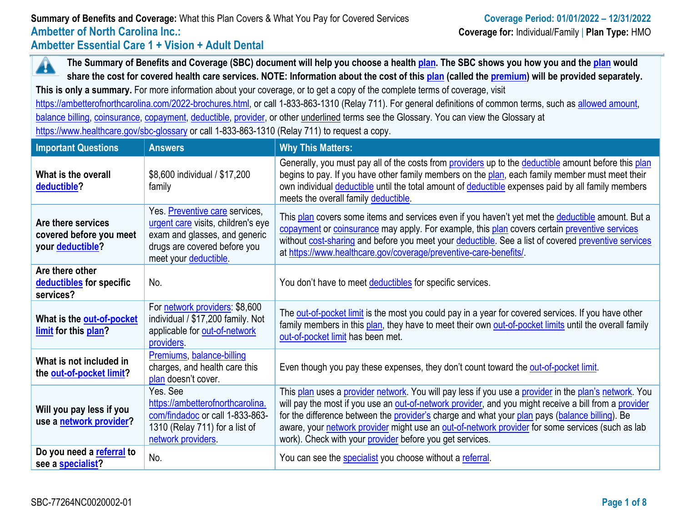**The Summary of Benefits and Coverage (SBC) document will help you choose a health [plan.](https://www.healthcare.gov/sbc-glossary/#plan) The SBC shows you how you and the [plan](https://www.healthcare.gov/sbc-glossary/#plan) would**  Â **share the cost for covered health care services. NOTE: Information about the cost of this [plan](https://www.healthcare.gov/sbc-glossary/#plan) (called the [premium\)](https://www.healthcare.gov/sbc-glossary/#premium) will be provided separately.**

**This is only a summary.** For more information about your coverage, or to get a copy of the complete terms of coverage, visit

[https://ambetterofnorthcarolina.com/2022-brochures.html,](https://ambetterofnorthcarolina.com/2022-brochures.html) or call 1-833-863-1310 (Relay 711). For general definitions of common terms, such as [allowed amount,](https://www.healthcare.gov/sbc-glossary/#allowed-amount) [balance billing,](https://www.healthcare.gov/sbc-glossary/#balance-billing) [coinsurance,](https://www.healthcare.gov/sbc-glossary/#coinsurance) [copayment,](https://www.healthcare.gov/sbc-glossary/#copayment) [deductible,](https://www.healthcare.gov/sbc-glossary/#deductible) [provider,](https://www.healthcare.gov/sbc-glossary/#provider) or other underlined terms see the Glossary. You can view the Glossary at <https://www.healthcare.gov/sbc-glossary> or call 1-833-863-1310 (Relay 711) to request a copy.

| <b>Important Questions</b>                                        | <b>Answers</b>                                                                                                                                                | <b>Why This Matters:</b>                                                                                                                                                                                                                                                                                                                                                                                                                                                         |
|-------------------------------------------------------------------|---------------------------------------------------------------------------------------------------------------------------------------------------------------|----------------------------------------------------------------------------------------------------------------------------------------------------------------------------------------------------------------------------------------------------------------------------------------------------------------------------------------------------------------------------------------------------------------------------------------------------------------------------------|
| What is the overall<br>deductible?                                | \$8,600 individual / \$17,200<br>family                                                                                                                       | Generally, you must pay all of the costs from providers up to the deductible amount before this plan<br>begins to pay. If you have other family members on the plan, each family member must meet their<br>own individual deductible until the total amount of deductible expenses paid by all family members<br>meets the overall family deductible.                                                                                                                            |
| Are there services<br>covered before you meet<br>your deductible? | Yes. Preventive care services,<br>urgent care visits, children's eye<br>exam and glasses, and generic<br>drugs are covered before you<br>meet your deductible | This plan covers some items and services even if you haven't yet met the deductible amount. But a<br>copayment or coinsurance may apply. For example, this plan covers certain preventive services<br>without cost-sharing and before you meet your deductible. See a list of covered preventive services<br>at https://www.healthcare.gov/coverage/preventive-care-benefits/                                                                                                    |
| Are there other<br>deductibles for specific<br>services?          | No.                                                                                                                                                           | You don't have to meet deductibles for specific services.                                                                                                                                                                                                                                                                                                                                                                                                                        |
| What is the out-of-pocket<br>limit for this plan?                 | For network providers: \$8,600<br>individual / \$17,200 family. Not<br>applicable for out-of-network<br>providers.                                            | The out-of-pocket limit is the most you could pay in a year for covered services. If you have other<br>family members in this plan, they have to meet their own out-of-pocket limits until the overall family<br>out-of-pocket limit has been met.                                                                                                                                                                                                                               |
| What is not included in<br>the out-of-pocket limit?               | Premiums, balance-billing<br>charges, and health care this<br>plan doesn't cover.                                                                             | Even though you pay these expenses, they don't count toward the out-of-pocket limit.                                                                                                                                                                                                                                                                                                                                                                                             |
| Will you pay less if you<br>use a network provider?               | Yes. See<br>https://ambetterofnorthcarolina.<br>com/findadoc or call 1-833-863-<br>1310 (Relay 711) for a list of<br>network providers.                       | This plan uses a provider network. You will pay less if you use a provider in the plan's network. You<br>will pay the most if you use an out-of-network provider, and you might receive a bill from a provider<br>for the difference between the provider's charge and what your plan pays (balance billing). Be<br>aware, your network provider might use an out-of-network provider for some services (such as lab<br>work). Check with your provider before you get services. |
| Do you need a referral to<br>see a specialist?                    | No.                                                                                                                                                           | You can see the specialist you choose without a referral.                                                                                                                                                                                                                                                                                                                                                                                                                        |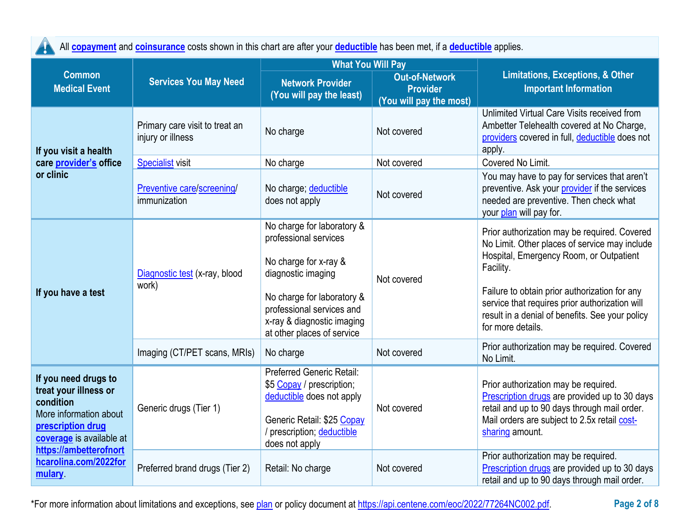| All <b>copayment</b> and <b>coinsurance</b> costs shown in this chart are after your <b>deductible</b> has been met, if a <b>deductible</b> applies.            |                                                     |                                                                                                                                                                                                                           |                                                                     |                                                                                                                                                                                                                                                                                                                                  |  |
|-----------------------------------------------------------------------------------------------------------------------------------------------------------------|-----------------------------------------------------|---------------------------------------------------------------------------------------------------------------------------------------------------------------------------------------------------------------------------|---------------------------------------------------------------------|----------------------------------------------------------------------------------------------------------------------------------------------------------------------------------------------------------------------------------------------------------------------------------------------------------------------------------|--|
| <b>Common</b><br><b>Medical Event</b>                                                                                                                           | <b>Services You May Need</b>                        | <b>What You Will Pay</b><br><b>Network Provider</b><br>(You will pay the least)                                                                                                                                           | <b>Out-of-Network</b><br><b>Provider</b><br>(You will pay the most) | Limitations, Exceptions, & Other<br><b>Important Information</b>                                                                                                                                                                                                                                                                 |  |
| If you visit a health                                                                                                                                           | Primary care visit to treat an<br>injury or illness | No charge                                                                                                                                                                                                                 | Not covered                                                         | Unlimited Virtual Care Visits received from<br>Ambetter Telehealth covered at No Charge,<br>providers covered in full, deductible does not<br>apply.                                                                                                                                                                             |  |
| care provider's office                                                                                                                                          | <b>Specialist visit</b>                             | No charge                                                                                                                                                                                                                 | Not covered                                                         | Covered No Limit.                                                                                                                                                                                                                                                                                                                |  |
| or clinic                                                                                                                                                       | Preventive care/screening/<br>immunization          | No charge; deductible<br>does not apply                                                                                                                                                                                   | Not covered                                                         | You may have to pay for services that aren't<br>preventive. Ask your provider if the services<br>needed are preventive. Then check what<br>your plan will pay for.                                                                                                                                                               |  |
| If you have a test                                                                                                                                              | Diagnostic test (x-ray, blood<br>work)              | No charge for laboratory &<br>professional services<br>No charge for x-ray &<br>diagnostic imaging<br>No charge for laboratory &<br>professional services and<br>x-ray & diagnostic imaging<br>at other places of service | Not covered                                                         | Prior authorization may be required. Covered<br>No Limit. Other places of service may include<br>Hospital, Emergency Room, or Outpatient<br>Facility.<br>Failure to obtain prior authorization for any<br>service that requires prior authorization will<br>result in a denial of benefits. See your policy<br>for more details. |  |
|                                                                                                                                                                 | Imaging (CT/PET scans, MRIs)                        | No charge                                                                                                                                                                                                                 | Not covered                                                         | Prior authorization may be required. Covered<br>No Limit.                                                                                                                                                                                                                                                                        |  |
| If you need drugs to<br>treat your illness or<br>condition<br>More information about<br>prescription drug<br>coverage is available at<br>https://ambetterofnort | Generic drugs (Tier 1)                              | <b>Preferred Generic Retail:</b><br>\$5 Copay / prescription;<br>deductible does not apply<br>Generic Retail: \$25 Copay<br>/ prescription; deductible<br>does not apply                                                  | Not covered                                                         | Prior authorization may be required.<br>Prescription drugs are provided up to 30 days<br>retail and up to 90 days through mail order.<br>Mail orders are subject to 2.5x retail cost-<br>sharing amount.                                                                                                                         |  |
| hcarolina.com/2022for<br>mulary                                                                                                                                 | Preferred brand drugs (Tier 2)                      | Retail: No charge                                                                                                                                                                                                         | Not covered                                                         | Prior authorization may be required.<br>Prescription drugs are provided up to 30 days<br>retail and up to 90 days through mail order.                                                                                                                                                                                            |  |

\*For more information about limitations and exceptions, see [plan](https://www.healthcare.gov/sbc-glossary/#plan) or policy document at [https://api.centene.com/eoc/2022/77264NC002.pdf.](https://api.centene.com/eoc/2022/77264NC002.pdf) **Page 2 of 8**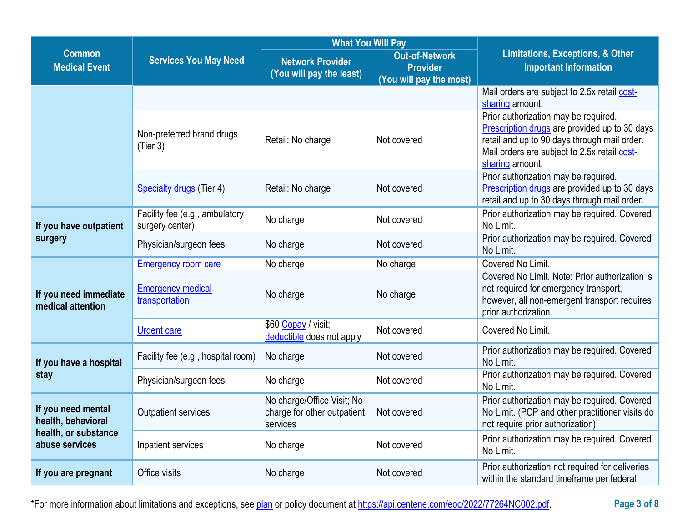|                                                                                    |                                                   | <b>What You Will Pay</b>                                              |                                                                     |                                                                                                                                                                                                          |
|------------------------------------------------------------------------------------|---------------------------------------------------|-----------------------------------------------------------------------|---------------------------------------------------------------------|----------------------------------------------------------------------------------------------------------------------------------------------------------------------------------------------------------|
| <b>Common</b><br><b>Medical Event</b>                                              | <b>Services You May Need</b>                      |                                                                       | <b>Out-of-Network</b><br><b>Provider</b><br>(You will pay the most) | <b>Limitations, Exceptions, &amp; Other</b><br><b>Important Information</b>                                                                                                                              |
|                                                                                    |                                                   |                                                                       |                                                                     | Mail orders are subject to 2.5x retail cost-<br>sharing amount.                                                                                                                                          |
|                                                                                    | Non-preferred brand drugs<br>(Tier 3)             | Retail: No charge                                                     | Not covered                                                         | Prior authorization may be required.<br>Prescription drugs are provided up to 30 days<br>retail and up to 90 days through mail order.<br>Mail orders are subject to 2.5x retail cost-<br>sharing amount. |
|                                                                                    | <b>Specialty drugs</b> (Tier 4)                   | Retail: No charge                                                     | Not covered                                                         | Prior authorization may be required.<br>Prescription drugs are provided up to 30 days<br>retail and up to 30 days through mail order.                                                                    |
| If you have outpatient                                                             | Facility fee (e.g., ambulatory<br>surgery center) | No charge                                                             | Not covered                                                         | Prior authorization may be required. Covered<br>No Limit.                                                                                                                                                |
| surgery                                                                            | Physician/surgeon fees                            | No charge                                                             | Not covered                                                         | Prior authorization may be required. Covered<br>No Limit.                                                                                                                                                |
|                                                                                    | <b>Emergency room care</b>                        | No charge                                                             | No charge                                                           | Covered No Limit.                                                                                                                                                                                        |
| If you need immediate<br>medical attention                                         | <b>Emergency medical</b><br>transportation        | No charge                                                             | No charge                                                           | Covered No Limit. Note: Prior authorization is<br>not required for emergency transport,<br>however, all non-emergent transport requires<br>prior authorization.                                          |
|                                                                                    | <b>Urgent care</b>                                | \$60 Copay / visit;<br>deductible does not apply                      | Not covered                                                         | Covered No Limit.                                                                                                                                                                                        |
| If you have a hospital                                                             | Facility fee (e.g., hospital room)                | No charge                                                             | Not covered                                                         | Prior authorization may be required. Covered<br>No Limit.                                                                                                                                                |
| stay                                                                               | Physician/surgeon fees                            | No charge                                                             | Not covered                                                         | Prior authorization may be required. Covered<br>No Limit.                                                                                                                                                |
| If you need mental<br>health, behavioral<br>health, or substance<br>abuse services | <b>Outpatient services</b>                        | No charge/Office Visit; No<br>charge for other outpatient<br>services | Not covered                                                         | Prior authorization may be required. Covered<br>No Limit. (PCP and other practitioner visits do<br>not require prior authorization)                                                                      |
|                                                                                    | Inpatient services                                | No charge                                                             | Not covered                                                         | Prior authorization may be required. Covered<br>No Limit.                                                                                                                                                |
| If you are pregnant                                                                | Office visits                                     | No charge                                                             | Not covered                                                         | Prior authorization not required for deliveries<br>within the standard timeframe per federal                                                                                                             |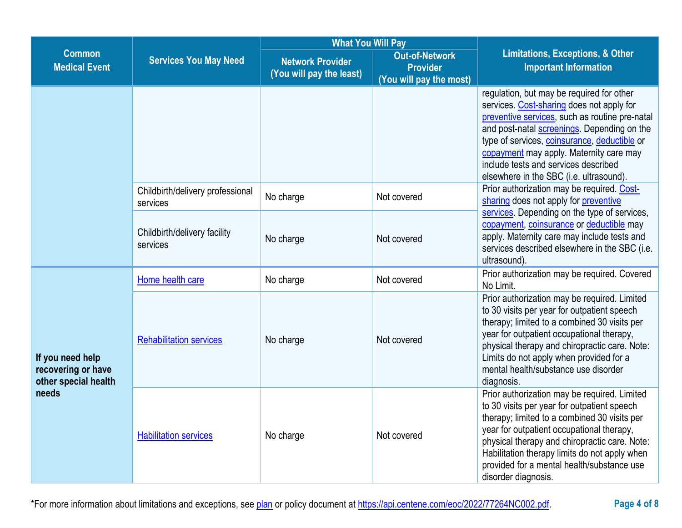|                                                                         |                                              | <b>What You Will Pay</b>                     |                                                                     |                                                                                                                                                                                                                                                                                                                                                                       |  |
|-------------------------------------------------------------------------|----------------------------------------------|----------------------------------------------|---------------------------------------------------------------------|-----------------------------------------------------------------------------------------------------------------------------------------------------------------------------------------------------------------------------------------------------------------------------------------------------------------------------------------------------------------------|--|
| <b>Common</b><br><b>Services You May Need</b><br><b>Medical Event</b>   |                                              | Network Provider<br>(You will pay the least) | <b>Out-of-Network</b><br><b>Provider</b><br>(You will pay the most) | <b>Limitations, Exceptions, &amp; Other</b><br><b>Important Information</b>                                                                                                                                                                                                                                                                                           |  |
|                                                                         |                                              |                                              |                                                                     | regulation, but may be required for other<br>services. Cost-sharing does not apply for<br>preventive services, such as routine pre-natal<br>and post-natal screenings. Depending on the<br>type of services, coinsurance, deductible or<br>copayment may apply. Maternity care may<br>include tests and services described<br>elsewhere in the SBC (i.e. ultrasound). |  |
|                                                                         | Childbirth/delivery professional<br>services | No charge                                    | Not covered                                                         | Prior authorization may be required. Cost-<br>sharing does not apply for preventive                                                                                                                                                                                                                                                                                   |  |
|                                                                         | Childbirth/delivery facility<br>services     | No charge                                    | Not covered                                                         | services. Depending on the type of services,<br>copayment, coinsurance or deductible may<br>apply. Maternity care may include tests and<br>services described elsewhere in the SBC (i.e.<br>ultrasound).                                                                                                                                                              |  |
|                                                                         | Home health care                             | No charge                                    | Not covered                                                         | Prior authorization may be required. Covered<br>No Limit.                                                                                                                                                                                                                                                                                                             |  |
| If you need help<br>recovering or have<br>other special health<br>needs | <b>Rehabilitation services</b>               | No charge                                    | Not covered                                                         | Prior authorization may be required. Limited<br>to 30 visits per year for outpatient speech<br>therapy; limited to a combined 30 visits per<br>year for outpatient occupational therapy,<br>physical therapy and chiropractic care. Note:<br>Limits do not apply when provided for a<br>mental health/substance use disorder<br>diagnosis.                            |  |
|                                                                         | <b>Habilitation services</b>                 | No charge                                    | Not covered                                                         | Prior authorization may be required. Limited<br>to 30 visits per year for outpatient speech<br>therapy; limited to a combined 30 visits per<br>year for outpatient occupational therapy,<br>physical therapy and chiropractic care. Note:<br>Habilitation therapy limits do not apply when<br>provided for a mental health/substance use<br>disorder diagnosis.       |  |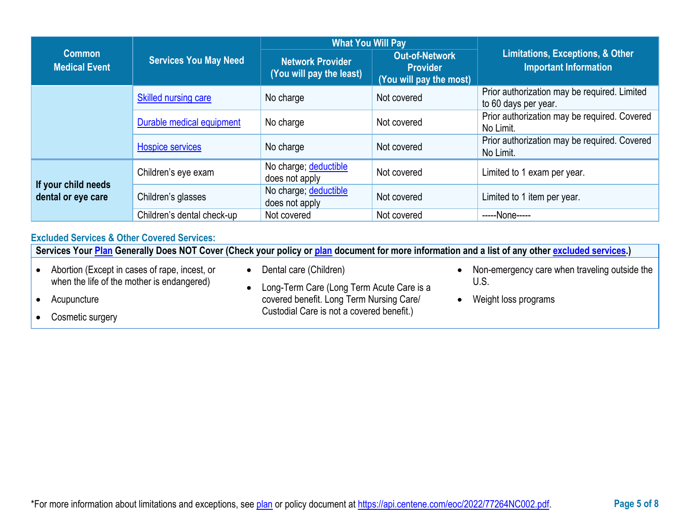|                                           |                              | <b>What You Will Pay</b>                            |                                                                     |                                                                             |
|-------------------------------------------|------------------------------|-----------------------------------------------------|---------------------------------------------------------------------|-----------------------------------------------------------------------------|
| <b>Common</b><br><b>Medical Event</b>     | <b>Services You May Need</b> | <b>Network Provider</b><br>(You will pay the least) | <b>Out-of-Network</b><br><b>Provider</b><br>(You will pay the most) | <b>Limitations, Exceptions, &amp; Other</b><br><b>Important Information</b> |
|                                           | <b>Skilled nursing care</b>  | No charge                                           | Not covered                                                         | Prior authorization may be required. Limited<br>to 60 days per year.        |
|                                           | Durable medical equipment    | No charge                                           | Not covered                                                         | Prior authorization may be required. Covered<br>No Limit.                   |
|                                           | <b>Hospice services</b>      | No charge                                           | Not covered                                                         | Prior authorization may be required. Covered<br>No Limit.                   |
|                                           | Children's eye exam          | No charge; deductible<br>does not apply             | Not covered                                                         | Limited to 1 exam per year.                                                 |
| If your child needs<br>dental or eye care | Children's glasses           | No charge; deductible<br>does not apply             | Not covered                                                         | Limited to 1 item per year.                                                 |
|                                           | Children's dental check-up   | Not covered                                         | Not covered                                                         | -----None-----                                                              |

# **Excluded Services & Other Covered Services:**

**Services Your [Plan](https://www.healthcare.gov/sbc-glossary/#plan) Generally Does NOT Cover (Check your policy or [plan](https://www.healthcare.gov/sbc-glossary/#plan) document for more information and a list of any other [excluded services.](https://www.healthcare.gov/sbc-glossary/#excluded-services))** • Abortion (Except in cases of rape, incest, or when the life of the mother is endangered) • Acupuncture • Cosmetic surgery • Dental care (Children) • Long-Term Care (Long Term Acute Care is a covered benefit. Long Term Nursing Care/ Custodial Care is not a covered benefit.) • Non-emergency care when traveling outside the U.S. • Weight loss programs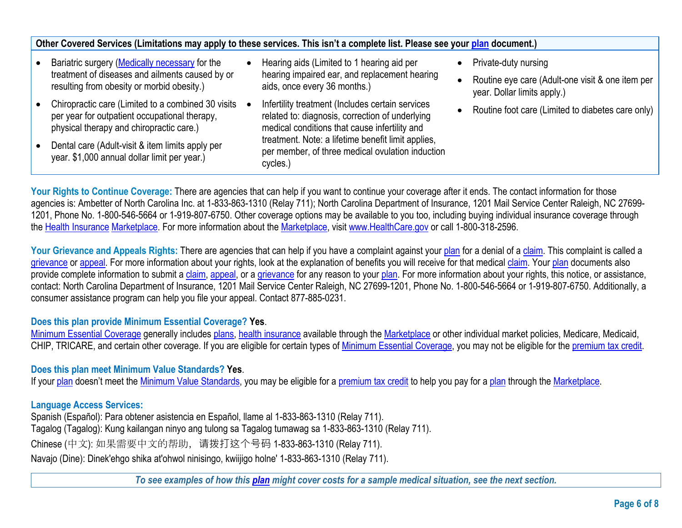| Other Covered Services (Limitations may apply to these services. This isn't a complete list. Please see your plan document.)                    |  |                                                                                                                                                      |  |                                                                                 |  |
|-------------------------------------------------------------------------------------------------------------------------------------------------|--|------------------------------------------------------------------------------------------------------------------------------------------------------|--|---------------------------------------------------------------------------------|--|
| Bariatric surgery (Medically necessary for the                                                                                                  |  | Hearing aids (Limited to 1 hearing aid per                                                                                                           |  | Private-duty nursing                                                            |  |
| treatment of diseases and ailments caused by or<br>resulting from obesity or morbid obesity.)                                                   |  | hearing impaired ear, and replacement hearing<br>aids, once every 36 months.)                                                                        |  | Routine eye care (Adult-one visit & one item per<br>year. Dollar limits apply.) |  |
| Chiropractic care (Limited to a combined 30 visits<br>per year for outpatient occupational therapy,<br>physical therapy and chiropractic care.) |  | Infertility treatment (Includes certain services<br>related to: diagnosis, correction of underlying<br>medical conditions that cause infertility and |  | Routine foot care (Limited to diabetes care only)                               |  |
| Dental care (Adult-visit & item limits apply per<br>year. \$1,000 annual dollar limit per year.)                                                |  | treatment. Note: a lifetime benefit limit applies,<br>per member, of three medical ovulation induction<br>cycles.)                                   |  |                                                                                 |  |

Your Rights to Continue Coverage: There are agencies that can help if you want to continue your coverage after it ends. The contact information for those agencies is: Ambetter of North Carolina Inc. at 1-833-863-1310 (Relay 711); North Carolina Department of Insurance, 1201 Mail Service Center Raleigh, NC 27699- 1201, Phone No. 1-800-546-5664 or 1-919-807-6750. Other coverage options may be available to you too, including buying individual insurance coverage through the [Health Insurance](https://www.healthcare.gov/sbc-glossary/#health-insurance) [Marketplace.](https://www.healthcare.gov/sbc-glossary/#marketplace) For more information about the [Marketplace,](https://www.healthcare.gov/sbc-glossary/#marketplace) visit [www.HealthCare.gov](http://www.healthcare.gov/) or call 1-800-318-2596.

Your Grievance and Appeals Rights: There are agencies that can help if you have a complaint against your [plan](https://www.healthcare.gov/sbc-glossary/#plan) for a denial of a [claim.](https://www.healthcare.gov/sbc-glossary/#claim) This complaint is called a [grievance](https://www.healthcare.gov/sbc-glossary/#grievance) or [appeal.](https://www.healthcare.gov/sbc-glossary/#appeal) For more information about your rights, look at the explanation of benefits you will receive for that medical [claim.](https://www.healthcare.gov/sbc-glossary/#claim) Your [plan](https://www.healthcare.gov/sbc-glossary/#plan) documents also provide complete information to submit a [claim,](https://www.healthcare.gov/sbc-glossary/#claim) [appeal,](https://www.healthcare.gov/sbc-glossary/#appeal) or a [grievance](https://www.healthcare.gov/sbc-glossary/#grievance) for any reason to your [plan.](https://www.healthcare.gov/sbc-glossary/#plan) For more information about your rights, this notice, or assistance, contact: North Carolina Department of Insurance, 1201 Mail Service Center Raleigh, NC 27699-1201, Phone No. 1-800-546-5664 or 1-919-807-6750. Additionally, a consumer assistance program can help you file your appeal. Contact 877-885-0231.

# **Does this plan provide Minimum Essential Coverage? Yes**.

[Minimum Essential Coverage](https://www.healthcare.gov/sbc-glossary/#minimum-essential-coverage) generally includes [plans,](https://www.healthcare.gov/sbc-glossary/#plan) [health insurance](https://www.healthcare.gov/sbc-glossary/#health-insurance) available through the [Marketplace](https://www.healthcare.gov/sbc-glossary/#marketplace) or other individual market policies, Medicare, Medicaid, CHIP, TRICARE, and certain other coverage. If you are eligible for certain types of [Minimum Essential Coverage,](https://www.healthcare.gov/sbc-glossary/#minimum-essential-coverage) you may not be eligible for the [premium tax credit.](https://www.healthcare.gov/sbc-glossary/#premium-tax-credits)

### **Does this plan meet Minimum Value Standards? Yes**.

If your [plan](https://www.healthcare.gov/sbc-glossary/#plan) doesn't meet the [Minimum Value Standards,](https://www.healthcare.gov/sbc-glossary/#minimum-value-standard) you may be eligible for a [premium tax credit](https://www.healthcare.gov/sbc-glossary/#premium-tax-credits) to help you pay for a [plan](https://www.healthcare.gov/sbc-glossary/#plan) through the [Marketplace.](https://www.healthcare.gov/sbc-glossary/#marketplace)

# **Language Access Services:**

Spanish (Español): Para obtener asistencia en Español, llame al 1-833-863-1310 (Relay 711). Tagalog (Tagalog): Kung kailangan ninyo ang tulong sa Tagalog tumawag sa 1-833-863-1310 (Relay 711). Chinese (中文): 如果需要中文的帮助, 请拨打这个号码 1-833-863-1310 (Relay 711). Navajo (Dine): Dinek'ehgo shika at'ohwol ninisingo, kwiijigo holne' 1-833-863-1310 (Relay 711).

*To see examples of how this [plan](https://www.healthcare.gov/sbc-glossary/#plan) might cover costs for a sample medical situation, see the next section.*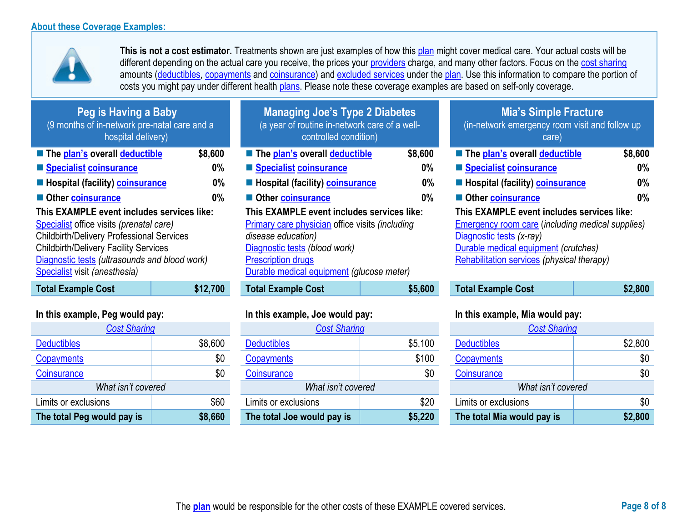

**This is not a cost estimator.** Treatments shown are just examples of how this [plan](https://www.healthcare.gov/sbc-glossary/#plan) might cover medical care. Your actual costs will be different depending on the actual care you receive, the prices your [providers](https://www.healthcare.gov/sbc-glossary/#provider) charge, and many other factors. Focus on the [cost sharing](https://www.healthcare.gov/sbc-glossary/#cost-sharing) amounts [\(deductibles,](https://www.healthcare.gov/sbc-glossary/#deductible) [copayments](https://www.healthcare.gov/sbc-glossary/#copayment) and [coinsurance\)](https://www.healthcare.gov/sbc-glossary/#coinsurance) and [excluded services](https://www.healthcare.gov/sbc-glossary/#excluded-services) under the [plan.](https://www.healthcare.gov/sbc-glossary/#plan) Use this information to compare the portion of costs you might pay under different health [plans.](https://www.healthcare.gov/sbc-glossary/#plan) Please note these coverage examples are based on self-only coverage.

| Peg is Having a Baby<br>(9 months of in-network pre-natal care and a<br>hospital delivery) |         |
|--------------------------------------------------------------------------------------------|---------|
| <b>The plan's overall deductible</b>                                                       | \$8,600 |
| ■ Specialist coinsurance                                                                   | 0%      |
| ■ Hospital (facility) coinsurance                                                          | 0%      |
| Other coinsurance                                                                          | 0%      |
| This EXAMPLE event includes services like:                                                 |         |
| Specialist office visits (prenatal care)                                                   |         |
| <b>Childbirth/Delivery Professional Services</b>                                           |         |
| <b>Childbirth/Delivery Facility Services</b>                                               |         |
| Diagnostic tests (ultrasounds and blood work)                                              |         |

| <b>Cost Sharing</b>        |         |  |  |  |
|----------------------------|---------|--|--|--|
| <b>Deductibles</b>         | \$8,600 |  |  |  |
| Copayments                 | \$0     |  |  |  |
| Coinsurance                | \$0     |  |  |  |
| What isn't covered         |         |  |  |  |
| Limits or exclusions       | \$60    |  |  |  |
| The total Peg would pay is | \$8,660 |  |  |  |

| Peg is Having a Baby<br>(9 months of in-network pre-natal care and a<br>hospital delivery)                                                                                                                                                                                   |          | <b>Managing Joe's Type 2 Diabetes</b><br>(a year of routine in-network care of a well-<br>controlled condition)                                                                                                                       |         | <b>Mia's Simple Fracture</b><br>(in-network emergency room visit and follow up<br>care)                                                                                                                                 |         |
|------------------------------------------------------------------------------------------------------------------------------------------------------------------------------------------------------------------------------------------------------------------------------|----------|---------------------------------------------------------------------------------------------------------------------------------------------------------------------------------------------------------------------------------------|---------|-------------------------------------------------------------------------------------------------------------------------------------------------------------------------------------------------------------------------|---------|
| The plan's overall deductible                                                                                                                                                                                                                                                | \$8,600  | ■ The plan's overall deductible                                                                                                                                                                                                       | \$8,600 | ■ The plan's overall deductible                                                                                                                                                                                         | \$8,600 |
| Specialist coinsurance                                                                                                                                                                                                                                                       | $0\%$    | Specialist coinsurance                                                                                                                                                                                                                | $0\%$   | Specialist coinsurance                                                                                                                                                                                                  | 0%      |
| <b>E</b> Hospital (facility) <b>coinsurance</b>                                                                                                                                                                                                                              | $0\%$    | Hospital (facility) coinsurance                                                                                                                                                                                                       | $0\%$   | <b>E</b> Hospital (facility) <b>coinsurance</b>                                                                                                                                                                         | 0%      |
| Other coinsurance                                                                                                                                                                                                                                                            | 0%       | Other coinsurance                                                                                                                                                                                                                     | $0\%$   | Other coinsurance                                                                                                                                                                                                       | 0%      |
| This EXAMPLE event includes services like:<br>Specialist office visits (prenatal care)<br><b>Childbirth/Delivery Professional Services</b><br><b>Childbirth/Delivery Facility Services</b><br>Diagnostic tests (ultrasounds and blood work)<br>Specialist visit (anesthesia) |          | This EXAMPLE event includes services like:<br><b>Primary care physician office visits (including</b><br>disease education)<br>Diagnostic tests (blood work)<br><b>Prescription drugs</b><br>Durable medical equipment (glucose meter) |         | This EXAMPLE event includes services like:<br><b>Emergency room care (including medical supplies)</b><br>Diagnostic tests (x-ray)<br>Durable medical equipment (crutches)<br>Rehabilitation services (physical therapy) |         |
| <b>Total Example Cost</b>                                                                                                                                                                                                                                                    | \$12,700 | <b>Total Example Cost</b>                                                                                                                                                                                                             | \$5,600 | <b>Total Example Cost</b>                                                                                                                                                                                               | \$2,800 |

| <b>Cost Sharing</b> |         | <b>Cost Sharing</b>        |         | <b>Cost Sharing</b>        |  |
|---------------------|---------|----------------------------|---------|----------------------------|--|
|                     | \$8,600 | <b>Deductibles</b>         | \$5,100 | <b>Deductibles</b>         |  |
|                     | \$0     | Copayments                 | \$100   | <b>Copayments</b>          |  |
|                     | \$0     | Coinsurance                | \$0     | Coinsurance                |  |
| What isn't covered  |         | What isn't covered         |         | What isn't covered         |  |
| ons                 | \$60    | Limits or exclusions       | \$20    | Limits or exclusions       |  |
| vould pay is        | \$8,660 | The total Joe would pay is | \$5,220 | The total Mia would pay is |  |

# **Mia's Simple Fracture**

| (in-network emergency room visit and follow up<br>care) |         |
|---------------------------------------------------------|---------|
| The plan's overall deductible                           | \$8,600 |
| Specialist coinsurance                                  | 0%      |
| <b>E</b> Hospital (facility) <b>coinsurance</b>         | 0%      |
| Other coinsurance                                       | 0%      |
| This EXAMPLE event includes services like:              |         |

| <b>Total Example Cost</b> | \$2,800 |
|---------------------------|---------|
|---------------------------|---------|

# **In this example, Peg would pay: In this example, Joe would pay: In this example, Mia would pay:**

| <b>Cost Sharing</b>        |         | <b>Cost Sharing</b>        |         | <b>Cost Sharing</b>        |         |
|----------------------------|---------|----------------------------|---------|----------------------------|---------|
| <b>Deductibles</b>         | \$8,600 | <b>Deductibles</b>         | \$5,100 | <b>Deductibles</b>         | \$2,800 |
| <b>Copayments</b>          | \$0     | Copayments                 | \$100   | Copayments                 | \$0     |
| Coinsurance                | \$0     | Coinsurance                | \$0     | Coinsurance                | \$0     |
| What isn't covered         |         | What isn't covered         |         | What isn't covered         |         |
| Limits or exclusions       | \$60    | Limits or exclusions       | \$20    | Limits or exclusions       | \$0     |
| The total Peg would pay is | \$8,660 | The total Joe would pay is | \$5,220 | The total Mia would pay is | \$2,800 |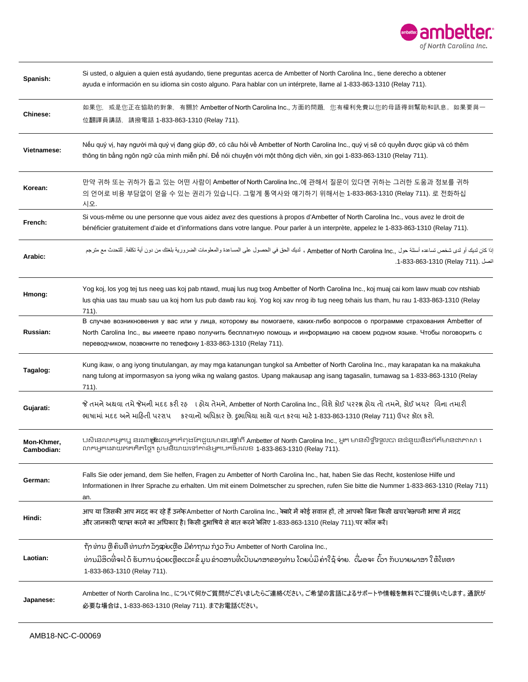

| Spanish:                 | Si usted, o alguien a quien está ayudando, tiene preguntas acerca de Ambetter of North Carolina Inc., tiene derecho a obtener<br>ayuda e información en su idioma sin costo alguno. Para hablar con un intérprete, llame al 1-833-863-1310 (Relay 711).                                                              |
|--------------------------|----------------------------------------------------------------------------------------------------------------------------------------------------------------------------------------------------------------------------------------------------------------------------------------------------------------------|
| Chinese:                 | 如果您,或是您正在協助的對象,有關於 Ambetter of North Carolina Inc., 方面的問題,您有權利免費以您的母語得到幫助和訊息。如果要與一<br>位翻譯員講話,請撥電話 1-833-863-1310 (Relay 711).                                                                                                                                                                                        |
| Vietnamese:              | Nếu quý vị, hay người mà quý vị đang giúp đỡ, có câu hỏi về Ambetter of North Carolina Inc., quý vị sẽ có quyền được giúp và có thêm<br>thông tin bằng ngôn ngữ của mình miễn phí. Để nói chuyện với một thông dịch viên, xin gọi 1-833-863-1310 (Relay 711).                                                        |
| Korean:                  | 만약 귀하 또는 귀하가 돕고 있는 어떤 사람이 Ambetter of North Carolina Inc.,에 관해서 질문이 있다면 귀하는 그러한 도움과 정보를 귀하<br>의 언어로 비용 부담없이 얻을 수 있는 권리가 있습니다. 그렇게 통역사와 얘기하기 위해서는 1-833-863-1310 (Relay 711). 로 전화하십<br>시오.                                                                                                                           |
| French:                  | Si vous-même ou une personne que vous aidez avez des questions à propos d'Ambetter of North Carolina Inc., vous avez le droit de<br>bénéficier gratuitement d'aide et d'informations dans votre langue. Pour parler à un interprète, appelez le 1-833-863-1310 (Relay 711).                                          |
| Arabic:                  | إذا كان لديك أو لدى شخص تساعده أسئلة حول , Ambetter of North Carolina Inc ، لديك الحق في الحصول على المساعدة والمعلومات الضرورية بلغتك من دون أية تكلفة للتحدث مع مترجم<br>اتصل .(Relay 711). 1-833-863-1310.                                                                                                        |
| Hmong:                   | Yog koj, los yog tej tus neeg uas koj pab ntawd, muaj lus nug txog Ambetter of North Carolina Inc., koj muaj cai kom lawv muab cov ntshiab<br>lus ghia uas tau muab sau ua koj hom lus pub dawb rau koj. Yog koj xav nrog ib tug neeg txhais lus tham, hu rau 1-833-863-1310 (Relay<br>711).                         |
| Russian:                 | В случае возникновения у вас или у лица, которому вы помогаете, каких-либо вопросов о программе страхования Ambetter of<br>North Carolina Inc., вы имеете право получить бесплатную помощь и информацию на своем родном языке. Чтобы поговорить с<br>переводчиком, позвоните по телефону 1-833-863-1310 (Relay 711). |
| Tagalog:                 | Kung ikaw, o ang iyong tinutulangan, ay may mga katanungan tungkol sa Ambetter of North Carolina Inc., may karapatan ka na makakuha<br>nang tulong at impormasyon sa iyong wika ng walang gastos. Upang makausap ang isang tagasalin, tumawag sa 1-833-863-1310 (Relay<br>711).                                      |
| Gujarati:                | જે તમને અથવા તમે જેમની મદદ કરી રહ ા હોય તેમને, Ambetter of North Carolina Inc., વિશે કોઈ પરરશ્ન હોય તો તમને, કોઈ ખયર વિના તમારી<br>ભાષામાં મદદ અને માહિતી પરરાપ કરવાનો અધિકાર છે. દ્રભાષિયા સાથે વાત કરવા માટે 1-833-863-1310 (Relay 711) ઉપર કૉલ કરો.                                                               |
| Mon-Khmer,<br>Cambodian: | បសិនេលកេអ្នកឬ នរណា <b>ថ្នាំ</b> ដលអ្នកកំពុងតែជួយមានបធ្ឈាំពី Ambetter of North Carolina Inc., អ្នក មានសិទ្ធិទទួលបា នជំនួយនិងព័ត៌មានជាភាសា រ<br>លាកអ្នកដោយឥតគិតថ្លៃ។ សូមនិយាយទៅកាន់អ្នកបកម៉ៃលេខ 1-833-863-1310 (Relay 711).                                                                                            |
| German:                  | Falls Sie oder jemand, dem Sie helfen, Fragen zu Ambetter of North Carolina Inc., hat, haben Sie das Recht, kostenlose Hilfe und<br>Informationen in Ihrer Sprache zu erhalten. Um mit einem Dolmetscher zu sprechen, rufen Sie bitte die Nummer 1-833-863-1310 (Relay 711)<br>an.                                   |
| Hindi:                   | आप या जिसकी आप मदद कर रहे हैं उनकेAmbetter of North Carolina Inc., क्बारे में कोई सवाल हों, तो आपको बिना किसी खचर क्सपनी भाषा में मदद<br>और जानकारी पराप्त करने का अधिकार है। किसी द्आषिये से बात करने क्विए 1-833-863-1310 (Relay 711).पर कॉल करें।                                                                 |
| Laotian:                 | ຖ້າທ່ານ ຫຼື ຄິນທື່ທ່ານກໍາ ລັງຊາ່ຍເຫືອ ມີຄໍາຖາມ ກ່ຽວ ກັບ Ambetter of North Carolina Inc.,<br>ທ່ານມີສິດທີ່ຈະໄດ້ ຮັບການຊ່ວຍເຫຼືອແລະຂໍ້ມູນຂ່າວສານທີ່ເປັນພາສາຂອງທ່ານ ໂດຍບໍ່ມີ ຄ່າໃຊ້ຈ່າຍ.  ເື່ີພອຈະ ເົົວາ ກັບນາຍພາສາ ໃຫ້ໂທຫາ<br>1-833-863-1310 (Relay 711).                                                               |
| Japanese:                | Ambetter of North Carolina Inc., について何かご質問がございましたらご連絡ください。ご希望の言語によるサポートや情報を無料でご提供いたします。 通訳が<br>必要な場合は、1-833-863-1310 (Relay 711). までお電話ください。                                                                                                                                                                         |